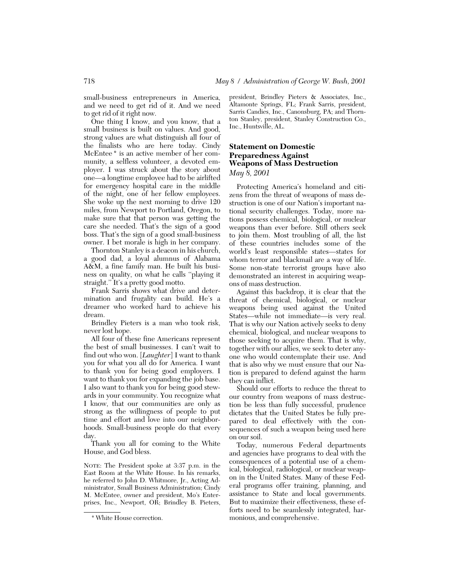small-business entrepreneurs in America, and we need to get rid of it. And we need to get rid of it right now.

One thing I know, and you know, that a small business is built on values. And good, strong values are what distinguish all four of the finalists who are here today. Cindy McEntee \* is an active member of her community, a selfless volunteer, a devoted employer. I was struck about the story about one—a longtime employee had to be airlifted for emergency hospital care in the middle of the night, one of her fellow employees. She woke up the next morning to drive 120 miles, from Newport to Portland, Oregon, to make sure that that person was getting the care she needed. That's the sign of a good boss. That's the sign of a good small-business owner. I bet morale is high in her company.

Thornton Stanley is a deacon in his church, a good dad, a loyal alumnus of Alabama A&M, a fine family man. He built his business on quality, on what he calls ''playing it straight.'' It's a pretty good motto.

Frank Sarris shows what drive and determination and frugality can build. He's a dreamer who worked hard to achieve his dream.

Brindley Pieters is a man who took risk, never lost hope.

All four of these fine Americans represent the best of small businesses. I can't wait to find out who won. [*Laughter*] I want to thank you for what you all do for America. I want to thank you for being good employers. I want to thank you for expanding the job base. I also want to thank you for being good stewards in your community. You recognize what I know, that our communities are only as strong as the willingness of people to put time and effort and love into our neighborhoods. Small-business people do that every day.

Thank you all for coming to the White House, and God bless.

NOTE: The President spoke at 3:37 p.m. in the East Room at the White House. In his remarks, he referred to John D. Whitmore, Jr., Acting Administrator, Small Business Administration; Cindy M. McEntee, owner and president, Mo's Enterprises, Inc., Newport, OR; Brindley B. Pieters,

president, Brindley Pieters & Associates, Inc., Altamonte Springs, FL; Frank Sarris, president, Sarris Candies, Inc., Canonsburg, PA; and Thornton Stanley, president, Stanley Construction Co., Inc., Huntsville, AL.

### **Statement on Domestic Preparedness Against Weapons of Mass Destruction** *May 8, 2001*

Protecting America's homeland and citizens from the threat of weapons of mass destruction is one of our Nation's important national security challenges. Today, more nations possess chemical, biological, or nuclear weapons than ever before. Still others seek to join them. Most troubling of all, the list of these countries includes some of the world's least responsible states—states for whom terror and blackmail are a way of life. Some non-state terrorist groups have also demonstrated an interest in acquiring weapons of mass destruction.

Against this backdrop, it is clear that the threat of chemical, biological, or nuclear weapons being used against the United States—while not immediate—is very real. That is why our Nation actively seeks to deny chemical, biological, and nuclear weapons to those seeking to acquire them. That is why, together with our allies, we seek to deter anyone who would contemplate their use. And that is also why we must ensure that our Nation is prepared to defend against the harm they can inflict.

Should our efforts to reduce the threat to our country from weapons of mass destruction be less than fully successful, prudence dictates that the United States be fully prepared to deal effectively with the consequences of such a weapon being used here on our soil.

Today, numerous Federal departments and agencies have programs to deal with the consequences of a potential use of a chemical, biological, radiological, or nuclear weapon in the United States. Many of these Federal programs offer training, planning, and assistance to State and local governments. But to maximize their effectiveness, these efforts need to be seamlessly integrated, harmonious, and comprehensive.

<sup>\*</sup> White House correction.